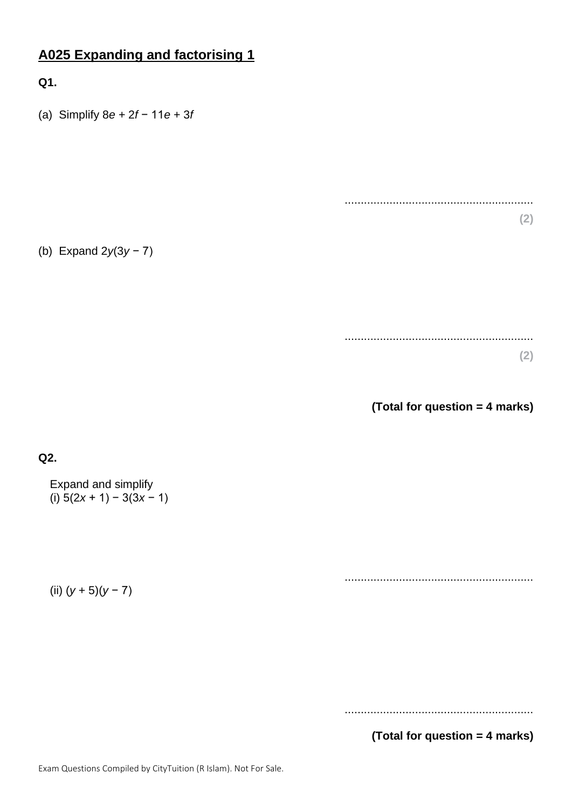# **A025 Expanding and factorising 1**

# **Q1.**

(a) Simplify 8*e* + 2*f* − 11*e* + 3*f*

(b) Expand 2*y*(3*y* − 7)

........................................................... **(2)**

...........................................................

**(2)**

**(Total for question = 4 marks)**

## **Q2.**

Expand and simplify (i)  $5(2x + 1) - 3(3x - 1)$ 

(ii) (*y* + 5)(*y* − 7)

...........................................................

...........................................................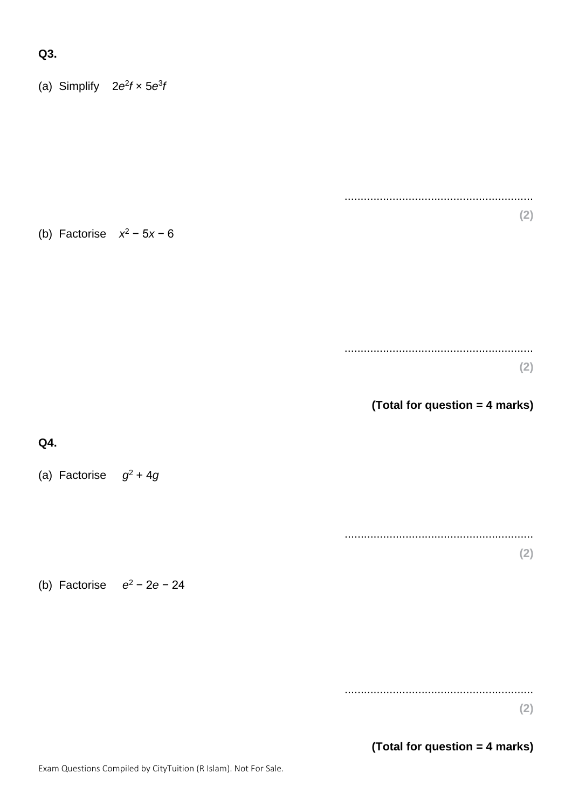#### **Q3.**

(a) Simplify  $2e^2f \times 5e^3f$ 

(b) Factorise *x* <sup>2</sup> − 5*x* − 6

........................................................... **(2)**

...........................................................

**(2)**

**(Total for question = 4 marks)**

#### **Q4.**

(a) Factorise  $g^2 + 4g$ 

........................................................... **(2)**

(b) Factorise *e* <sup>2</sup> − 2*e* − 24

...........................................................

**(2)**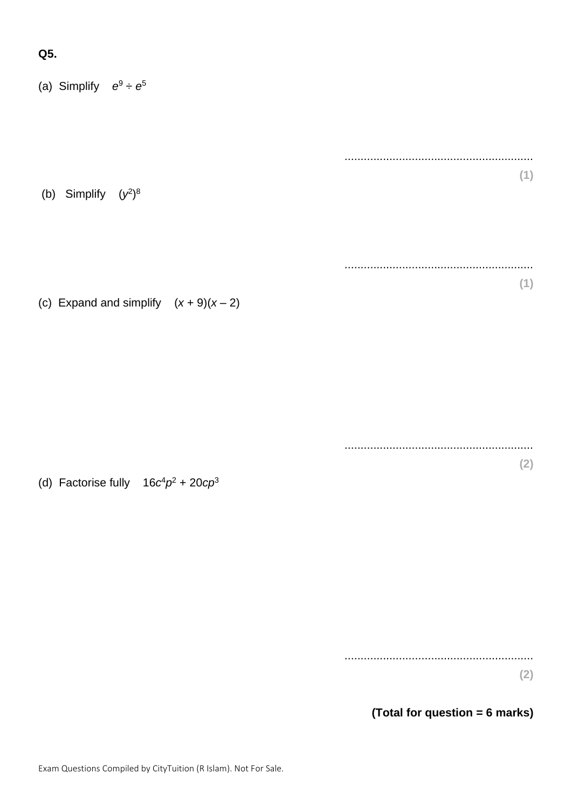#### **Q5.**

(a) Simplify  $e^9 \div e^5$ 

(b) Simplify  $(y^2)^8$ 

(c) Expand and simplify  $(x + 9)(x - 2)$ 

(d) Factorise fully  $16c^4p^2 + 20cp^3$ 

........................................................... **(2)**

...........................................................

...........................................................

...........................................................

**(1)**

**(1)**

**(2)**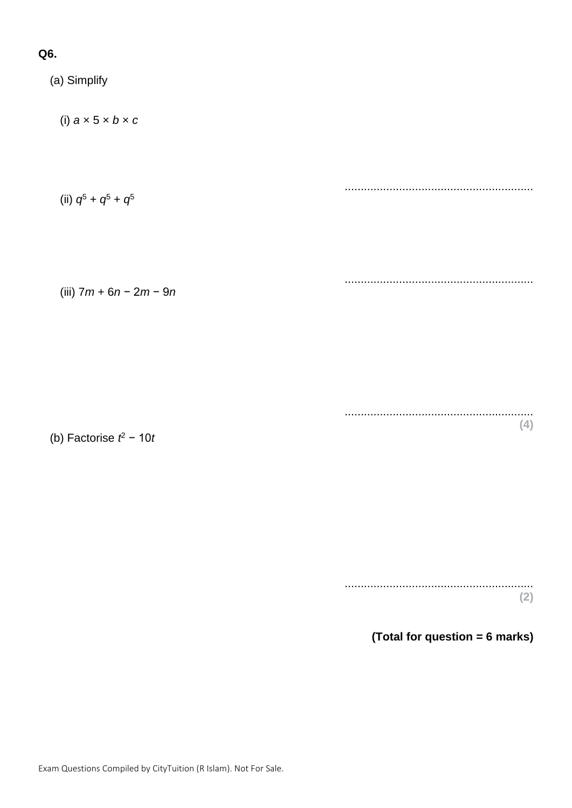# **Q6.**

(a) Simplify (i) *a* × 5 × *b* × *c* ........................................................... (ii)  $q^5 + q^5 + q^5$ ........................................................... (iii) 7*m* + 6*n* − 2*m* − 9*n* ........................................................... **(4)**

(b) Factorise *t* <sup>2</sup> − 10*t*

........................................................... **(2)**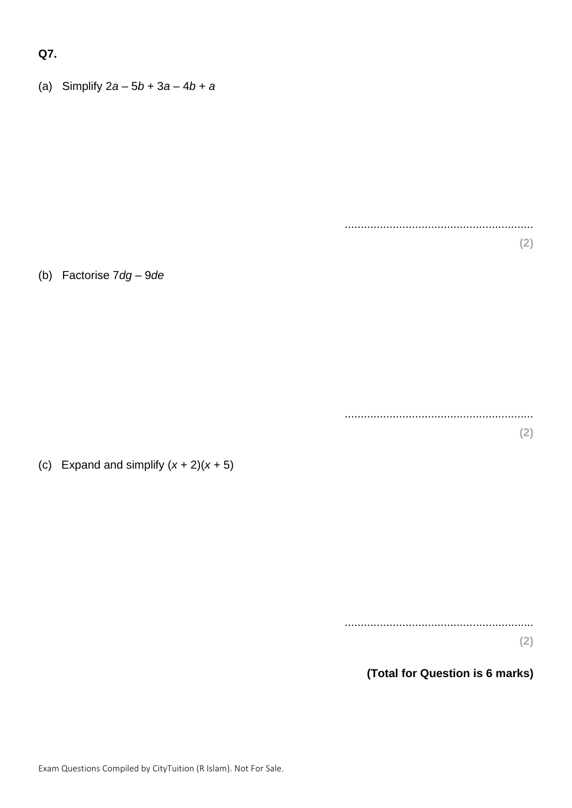#### **Q7.**

(a) Simplify 2*a* – 5*b* + 3*a* – 4*b* + *a*

(b) Factorise 7*dg* – 9*de*

(c) Expand and simplify  $(x + 2)(x + 5)$ 

...........................................................

...........................................................

...........................................................

**(2)**

**(2)**

**(2)**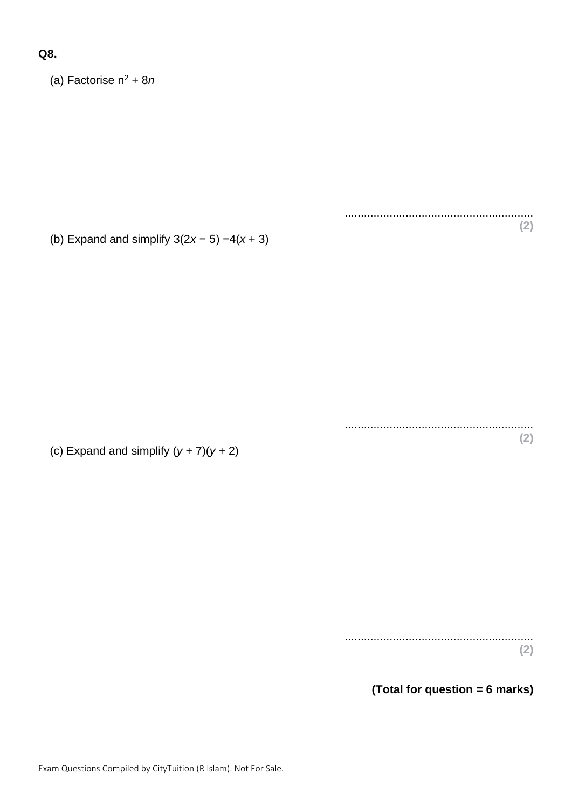### **Q8.**

(a) Factorise n<sup>2</sup> + 8*n*

(b) Expand and simplify 3(2*x* − 5) −4(*x* + 3)

........................................................... **(2)**

...........................................................

**(2)**

(c) Expand and simplify  $(y + 7)(y + 2)$ 

........................................................... **(2)**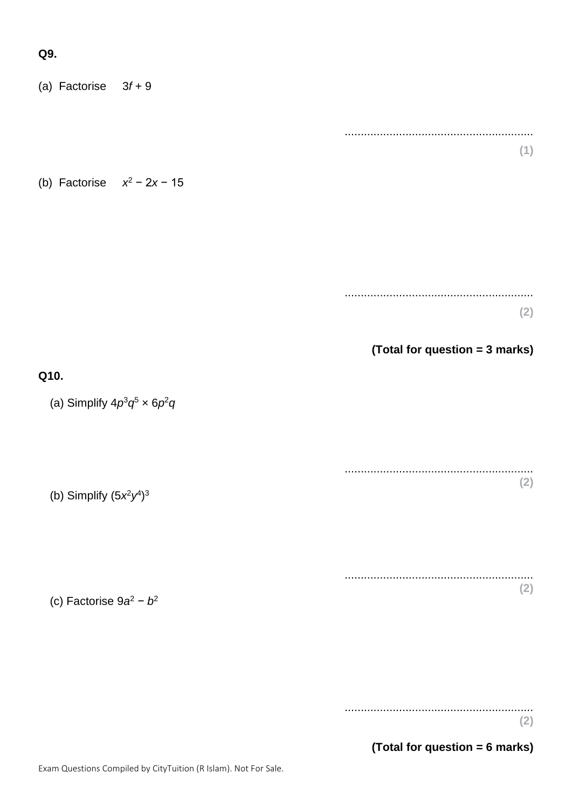#### **Q9.**

(a) Factorise 3*f* + 9 ........................................................... **(1)** (b) Factorise *x* <sup>2</sup> − 2*x* − 15 ........................................................... **(2) (Total for question = 3 marks) Q10.** (a) Simplify  $4p^3q^5 \times 6p^2q$ ........................................................... **(2)** (b) Simplify  $(5x^2y^4)^3$ ........................................................... **(2)** (c) Factorise 9*a* <sup>2</sup> − *b* 2

> ........................................................... **(2)**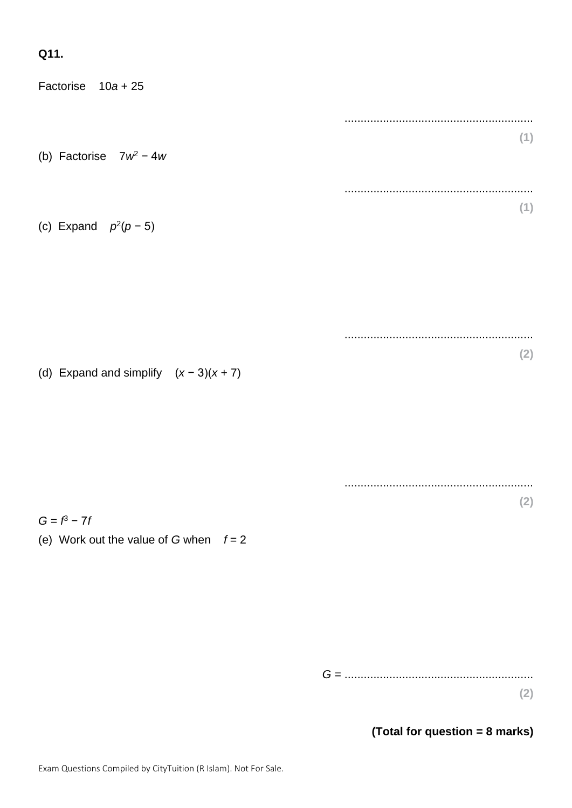# **Q11.**

| Factorise $10a + 25$                                       |     |
|------------------------------------------------------------|-----|
|                                                            |     |
| (b) Factorise $7w^2 - 4w$                                  | (1) |
|                                                            |     |
| (c) Expand $p^2(p-5)$                                      | (1) |
|                                                            |     |
|                                                            |     |
| (d) Expand and simplify $(x-3)(x+7)$                       | (2) |
|                                                            |     |
|                                                            |     |
|                                                            | (2) |
| $G = f^3 - 7f$<br>(e) Work out the value of G when $f = 2$ |     |
|                                                            |     |
|                                                            |     |
|                                                            |     |
|                                                            | (2) |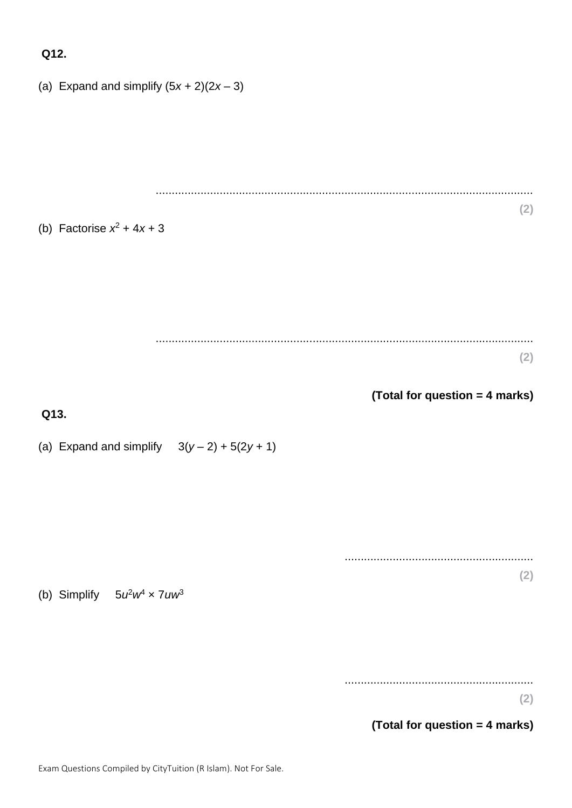#### **Q12.**

(a) Expand and simplify  $(5x + 2)(2x - 3)$ ...................................................................................................................... **(2)** (b) Factorise  $x^2 + 4x + 3$ ...................................................................................................................... **(2) (Total for question = 4 marks) Q13.** (a) Expand and simplify  $3(y-2) + 5(2y + 1)$ ........................................................... **(2)** (b) Simplify  $5u^2w^4 \times 7uw^3$ ........................................................... **(2)**